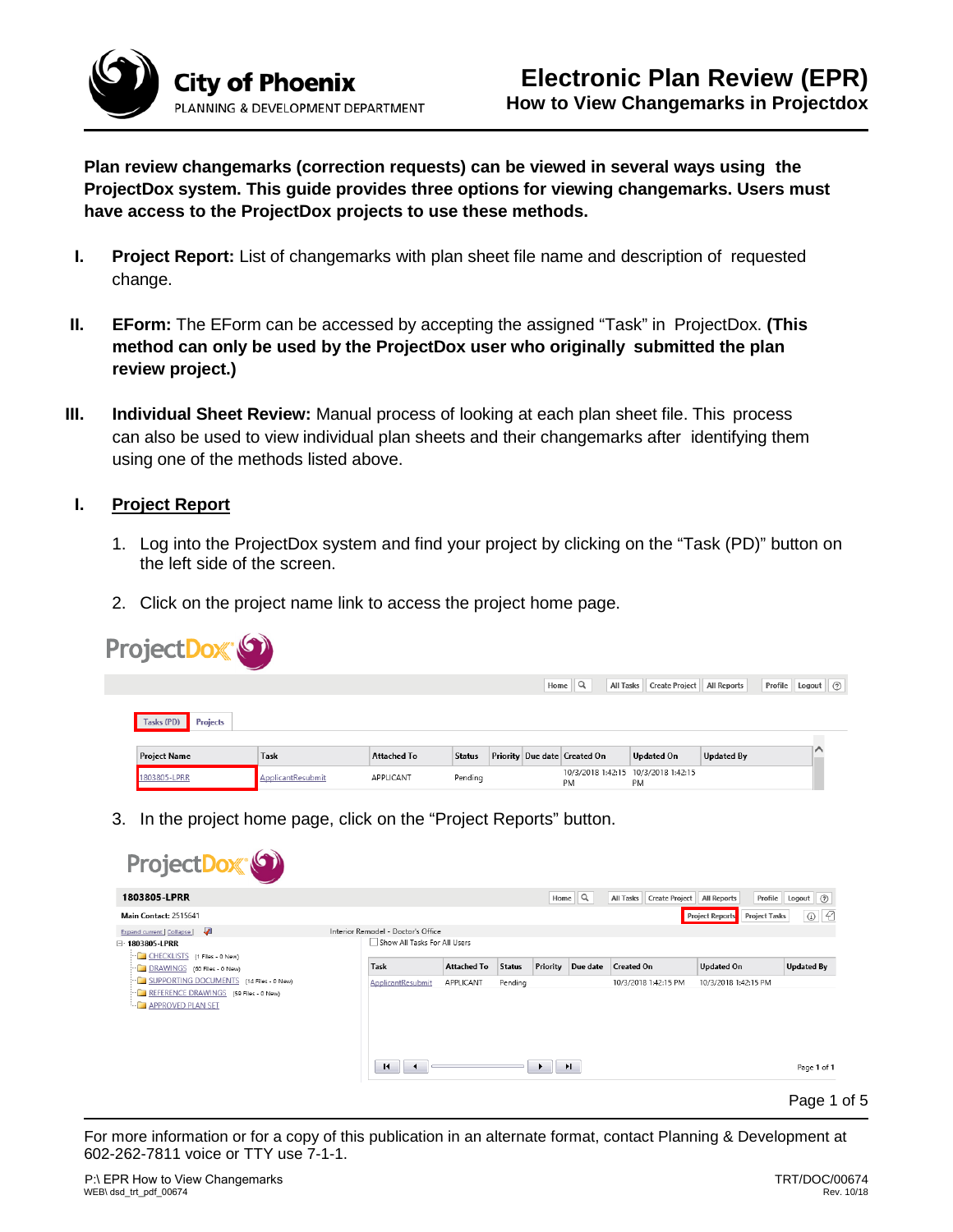

**Plan review changemarks (correction requests) can be viewed in several ways using the ProjectDox system. This guide provides three options for viewing changemarks. Users must have access to the ProjectDox projects to use these methods.**

- **I. Project Report:** List of changemarks with plan sheet file name and description of requested change.
- **II. EForm:** The EForm can be accessed by accepting the assigned "Task" in ProjectDox. **(This method can only be used by the ProjectDox user who originally submitted the plan review project.)**
- **III. Individual Sheet Review:** Manual process of looking at each plan sheet file. This process can also be used to view individual plan sheets and their changemarks after identifying them using one of the methods listed above.

## **I. Project Report**

- 1. Log into the ProjectDox system and find your project by clicking on the "Task (PD)" button on the left side of the screen.
- 2. Click on the project name link to access the project home page.



3. In the project home page, click on the "Project Reports" button.

| 1803805-LPRR                                                 |                                    |                    |               |          | Home $\mathbb{Q}$ | All Tasks Create Project   All Reports |                                                | Profile Logout (?)  |
|--------------------------------------------------------------|------------------------------------|--------------------|---------------|----------|-------------------|----------------------------------------|------------------------------------------------|---------------------|
| Main Contact: 2515641                                        |                                    |                    |               |          |                   |                                        | <b>Project Reports</b><br><b>Project Tasks</b> | 4<br>$\circledcirc$ |
| ₩<br>Expand current   Collapse                               | Interior Remodel - Doctor's Office |                    |               |          |                   |                                        |                                                |                     |
| □ 1803805-LPRR                                               | Show All Tasks For All Users       |                    |               |          |                   |                                        |                                                |                     |
| CHECKLISTS (1 Files - 0 New)<br>DRAWINGS (60 Files - 0 New)  | Task                               | <b>Attached To</b> | <b>Status</b> | Priority | Due date          | <b>Created On</b>                      | <b>Updated On</b>                              | <b>Updated By</b>   |
| SUPPORTING DOCUMENTS (14 Files - 0 New)                      | ApplicantResubmit                  | APPLICANT          | Pending       |          |                   | 10/3/2018 1:42:15 PM                   | 10/3/2018 1:42:15 PM                           |                     |
| REFERENCE DRAWINGS (59 Files - 0 New)<br>- APPROVED PLAN SET |                                    |                    |               |          |                   |                                        |                                                |                     |

For more information or for a copy of this publication in an alternate format, contact Planning & Development at 602-262-7811 voice or TTY use 7-1-1.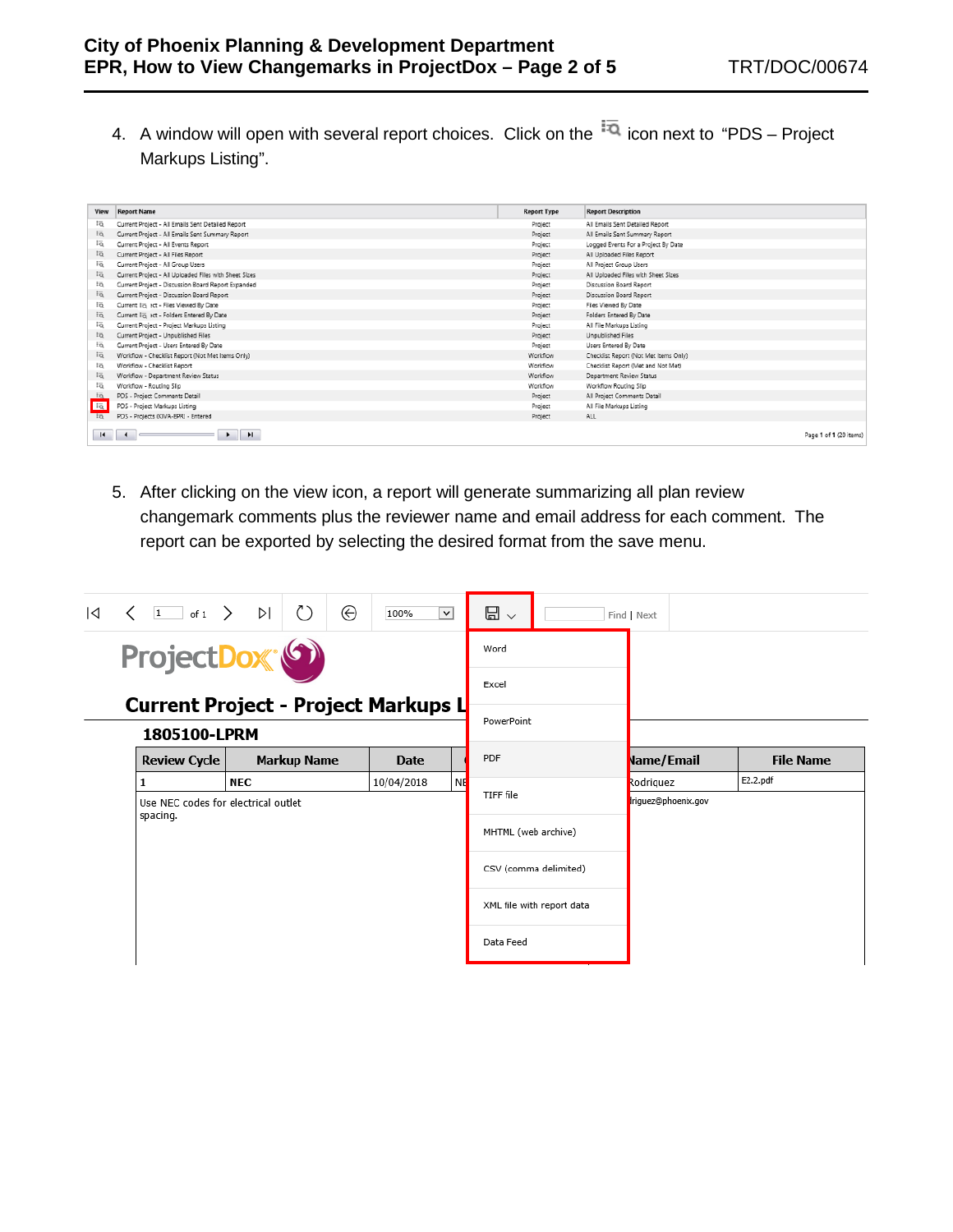4. A window will open with several report choices. Click on the  $\overline{a}$  icon next to "PDS – Project Markups Listing".

| View                       | <b>Report Name</b>                                    | <b>Report Type</b> | <b>Report Description</b>             |                        |
|----------------------------|-------------------------------------------------------|--------------------|---------------------------------------|------------------------|
| Ιö                         | Current Project - All Emails Sent Detailed Report     | Project            | All Emails Sent Detailed Report       |                        |
| to                         | Current Project - All Emails Sent Summary Report      | Project            | All Emails Sent Summary Report        |                        |
| Fö.                        | Current Project - All Events Report                   | Project            | Logged Events For a Project By Date   |                        |
| Ιō                         | Current Project - All Files Report                    | Project            | All Uploaded Files Report             |                        |
| Ιö                         | Current Project - All Group Users                     | Project            | All Project Group Users               |                        |
| lö                         | Current Project - All Uploaded Files with Sheet Sizes | Project            | All Uploaded Files with Sheet Sizes   |                        |
| Ιō                         | Current Project - Discussion Board Report Expanded    | Project            | Discussion Board Report               |                        |
| EQ.                        | Current Project - Discussion Board Report             | Project            | Discussion Board Report               |                        |
| Ιö                         | Current I <sub>O</sub> act - Files Viewed By Date     | Project            | Files Viewed By Date                  |                        |
| to                         | Current in act - Folders Entered By Date              | Project            | Folders Entered By Date               |                        |
| Fō.                        | Current Project - Project Markups Listing             | Project            | All File Markups Listing              |                        |
| iō                         | Current Project - Unpublished Files                   | Project            | Unpublished Files                     |                        |
| Ιā                         | Current Project - Users Entered By Date               | Project            | Users Entered By Date                 |                        |
| Ιō                         | Workflow - Checklist Report (Not Met Items Only)      | Workflow           | Checklist Report (Not Met Items Only) |                        |
| Ιö                         | Workflow - Checklist Report                           | Workflow           | Checklist Report (Met and Not Met)    |                        |
| $\overline{\overline{50}}$ | Workflow - Department Review Status                   | Workflow           | Department Review Status              |                        |
| Ιō                         | Workflow - Routing Slip                               | Workflow           | Workflow Routing Slip                 |                        |
| $\overline{10}$            | PDS - Project Comments Detail                         | Project            | All Project Comments Detail           |                        |
| $E_{\rm R}$                | PDS - Project Markups Listing                         | Project            | All File Markups Listing              |                        |
| $\overline{10}$            | PDS - Projects (KIVA-EPR) - Entered                   | Project            | ALL.                                  |                        |
| $\mathbf{H}$               | $\mathbf{H}$<br>$\ddot{\phantom{1}}$                  |                    |                                       | Page 1 of 1 (20 items) |

5. After clicking on the view icon, a report will generate summarizing all plan review changemark comments plus the reviewer name and email address for each comment. The report can be exported by selecting the desired format from the save menu.

| $\overline{\mathsf{A}}$ | $\langle$<br>$\mathbf{1}$<br>of 1          | ÞI                                              | ⊕                  | 100%<br>$\vee$        |                     | ⊟<br>$\checkmark$         |                     | Find   Next       |  |                  |
|-------------------------|--------------------------------------------|-------------------------------------------------|--------------------|-----------------------|---------------------|---------------------------|---------------------|-------------------|--|------------------|
|                         | ProjectDox <sup>(6)</sup>                  |                                                 |                    |                       | Word                |                           |                     |                   |  |                  |
|                         | <b>Current Project - Project Markups L</b> |                                                 |                    |                       |                     | Excel                     |                     |                   |  |                  |
|                         | 1805100-LPRM                               |                                                 |                    |                       |                     | PowerPoint                |                     |                   |  |                  |
|                         | <b>Review Cycle</b>                        |                                                 | <b>Markup Name</b> | Date                  |                     | PDF                       |                     | <b>Name/Email</b> |  | <b>File Name</b> |
|                         |                                            | <b>NEC</b>                                      |                    | 10/04/2018            | <b>NE</b>           |                           |                     | Rodriguez         |  | E2.2.pdf         |
|                         |                                            | Use NEC codes for electrical outlet<br>spacing. |                    |                       | TIFF file           |                           | triguez@phoenix.gov |                   |  |                  |
|                         |                                            |                                                 |                    |                       | MHTML (web archive) |                           |                     |                   |  |                  |
|                         |                                            |                                                 |                    | CSV (comma delimited) |                     |                           |                     |                   |  |                  |
|                         |                                            |                                                 |                    |                       |                     | XML file with report data |                     |                   |  |                  |
|                         |                                            |                                                 |                    |                       |                     | Data Feed                 |                     |                   |  |                  |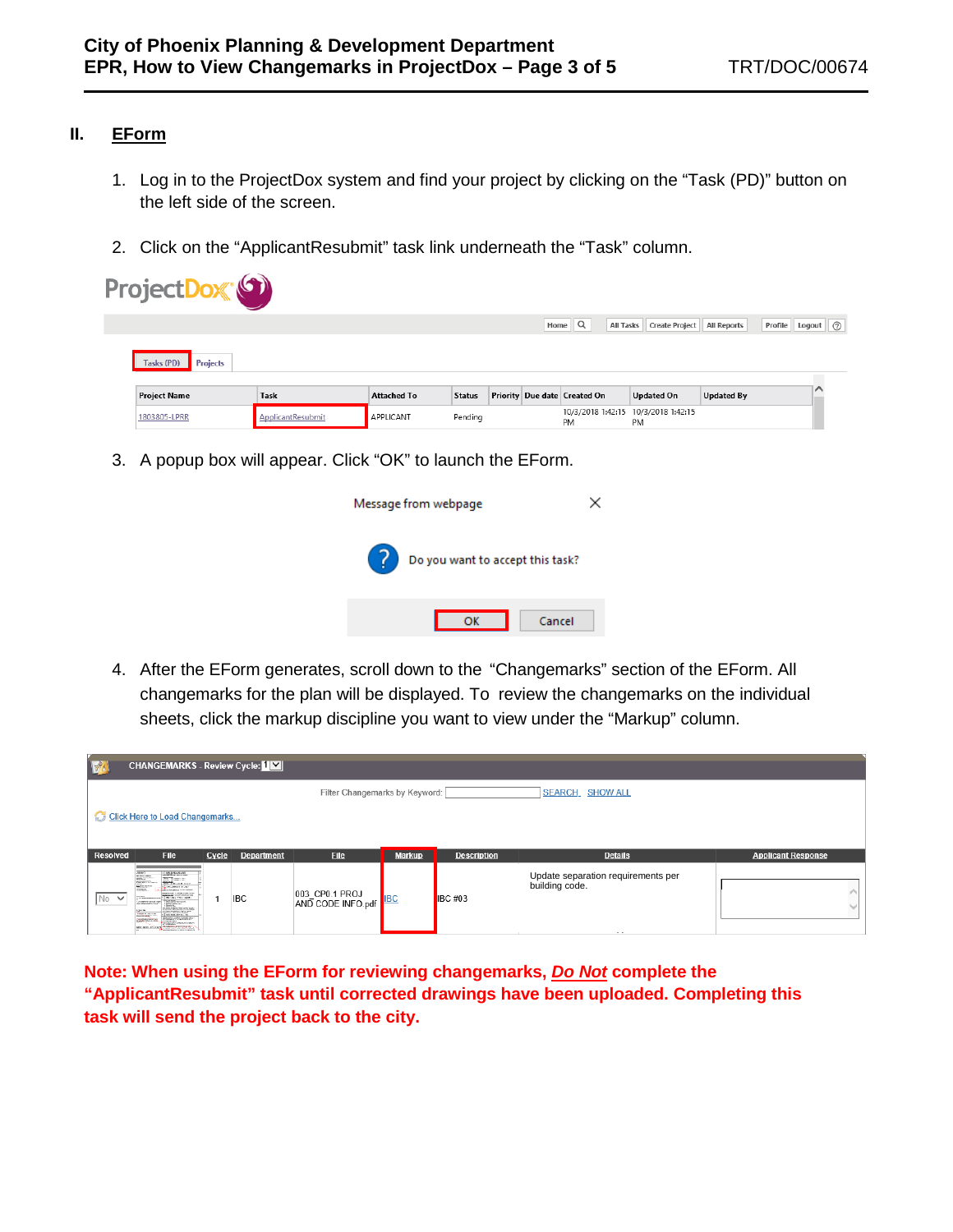## **II. EForm**

- 1. Log in to the ProjectDox system and find your project by clicking on the "Task (PD)" button on the left side of the screen.
- 2. Click on the "ApplicantResubmit" task link underneath the "Task" column.

| Project Dox <sup>®</sup>      |                   |                    |               |      |                                                  |                       |                    |                              |
|-------------------------------|-------------------|--------------------|---------------|------|--------------------------------------------------|-----------------------|--------------------|------------------------------|
|                               |                   |                    |               | Home | Q<br>All Tasks                                   | <b>Create Project</b> | <b>All Reports</b> | Logout $\bigcirc$<br>Profile |
| Tasks (PD)<br><b>Projects</b> |                   |                    |               |      |                                                  |                       |                    |                              |
| <b>Project Name</b>           | Task              | <b>Attached To</b> | <b>Status</b> |      | Priority Due date Created On                     | <b>Updated On</b>     | <b>Updated By</b>  |                              |
| 1803805-LPRR                  | ApplicantResubmit | APPLICANT          | Pending       |      | 10/3/2018 1:42:15 10/3/2018 1:42:15<br><b>PM</b> | PM                    |                    |                              |

3. A popup box will appear. Click "OK" to launch the EForm.



4. After the EForm generates, scroll down to the "Changemarks" section of the EForm. All changemarks for the plan will be displayed. To review the changemarks on the individual sheets, click the markup discipline you want to view under the "Markup" column.

| H               | <b>CHANGEMARKS - Review Cycle: [ V]</b>                                                                                                                                                                                                                                                                                                                                                                                                                                                       |       |                   |                                     |               |                    |                                                      |                           |  |  |
|-----------------|-----------------------------------------------------------------------------------------------------------------------------------------------------------------------------------------------------------------------------------------------------------------------------------------------------------------------------------------------------------------------------------------------------------------------------------------------------------------------------------------------|-------|-------------------|-------------------------------------|---------------|--------------------|------------------------------------------------------|---------------------------|--|--|
|                 | <b>SEARCH_ SHOW ALL</b><br>Filter Changemarks by Keyword:                                                                                                                                                                                                                                                                                                                                                                                                                                     |       |                   |                                     |               |                    |                                                      |                           |  |  |
|                 | Click Here to Load Changemarks                                                                                                                                                                                                                                                                                                                                                                                                                                                                |       |                   |                                     |               |                    |                                                      |                           |  |  |
| <b>Resolved</b> | <b>File</b>                                                                                                                                                                                                                                                                                                                                                                                                                                                                                   |       |                   |                                     |               |                    |                                                      |                           |  |  |
|                 |                                                                                                                                                                                                                                                                                                                                                                                                                                                                                               | Cycle | <b>Department</b> | <b>File</b>                         | <b>Markup</b> | <b>Description</b> | <b>Details</b>                                       | <b>Applicant Response</b> |  |  |
| No V            | 1 PEEP ASSAULT<br>AMARCO<br><b>Miller College</b><br><b>William</b><br><b>Maria Accounting</b><br><b>Paint William</b><br><b>TO THURSDAY</b><br><b>Conservative</b><br>Lots Arms Alexandra Committee<br>---------------<br><b>STUDIOS</b><br>120110-1-120-008<br>$\begin{tabular}{ c c } \hline \textbf{RAPB} & $\cdots$ \\ \hline \textbf{RAPC} & $\cdots$ \\ \hline \textbf{RAPC} & $\cdots$ \\ \hline \textbf{RAPC} & $\cdots$ \\ \hline \textbf{RAPC} & $\cdots$ \\ \hline \end{tabular}$ |       | <b>IBC</b>        | 003_CP0.1 PROJ<br>AND CODE INFO.pdf |               | <b>IBC #03</b>     | Update separation requirements per<br>building code. |                           |  |  |

**Note: When using the EForm for reviewing changemarks,** *Do Not* **complete the "ApplicantResubmit" task until corrected drawings have been uploaded. Completing this task will send the project back to the city.**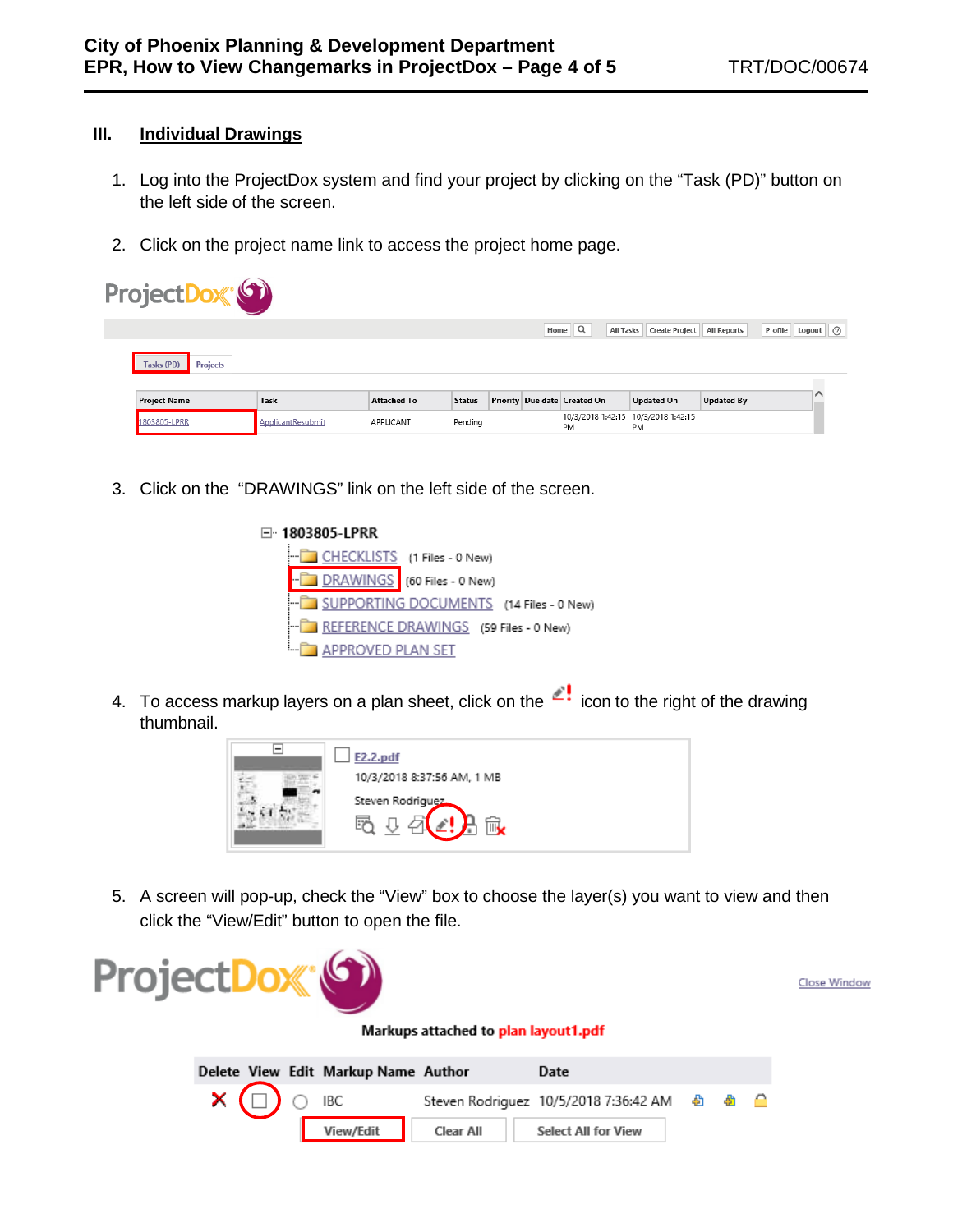## **III. Individual Drawings**

- 1. Log into the ProjectDox system and find your project by clicking on the "Task (PD)" button on the left side of the screen.
- 2. Click on the project name link to access the project home page.

| ProjectDox (9)                |                   |                    |               |  |                                       |                                           |                    |                    |  |
|-------------------------------|-------------------|--------------------|---------------|--|---------------------------------------|-------------------------------------------|--------------------|--------------------|--|
|                               |                   |                    |               |  | Home $\mathbb{Q}$<br><b>All Tasks</b> | <b>Create Project</b>                     | <b>All Reports</b> | Profile Logout (?) |  |
| <b>Projects</b><br>Tasks (PD) |                   |                    |               |  |                                       |                                           |                    |                    |  |
| <b>Project Name</b>           | Task              | <b>Attached To</b> | <b>Status</b> |  | Priority Due date Created On          | <b>Updated On</b>                         | <b>Updated By</b>  |                    |  |
| 1803805-LPRR                  | ApplicantResubmit | APPLICANT          | Pending       |  | <b>PM</b>                             | 10/3/2018 1:42:15 10/3/2018 1:42:15<br>PM |                    |                    |  |

- 3. Click on the "DRAWINGS" link on the left side of the screen.
	- □ 1803805-LPRR CHECKLISTS (1 Files - 0 New) DRAWINGS (60 Files - 0 New) SUPPORTING DOCUMENTS (14 Files - 0 New) REFERENCE DRAWINGS (59 Files - 0 New) **APPROVED PLAN SET**
- 4. To access markup layers on a plan sheet, click on the  $\leq$  icon to the right of the drawing thumbnail.



5. A screen will pop-up, check the "View" box to choose the layer(s) you want to view and then click the "View/Edit" button to open the file.



Close Window

## Markups attached to plan layout1.pdf

|                                 | Delete View Edit Markup Name Author |                  | Date                       |  |  |
|---------------------------------|-------------------------------------|------------------|----------------------------|--|--|
| $\times$ ( $\Box$ ) $\circ$ IBC |                                     |                  |                            |  |  |
|                                 | View/Edit                           | <b>Clear All</b> | <b>Select All for View</b> |  |  |